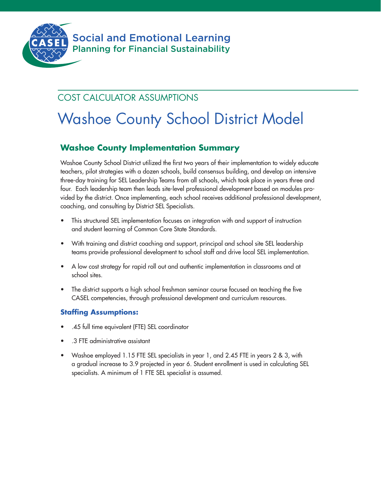

## COST CALCULATOR ASSUMPTIONS

# Washoe County School District Model

## **Washoe County Implementation Summary**

Washoe County School District utilized the first two years of their implementation to widely educate teachers, pilot strategies with a dozen schools, build consensus building, and develop an intensive three-day training for SEL Leadership Teams from all schools, which took place in years three and four. Each leadership team then leads site-level professional development based on modules provided by the district. Once implementing, each school receives additional professional development, coaching, and consulting by District SEL Specialists.

- This structured SEL implementation focuses on integration with and support of instruction and student learning of Common Core State Standards.
- With training and district coaching and support, principal and school site SEL leadership teams provide professional development to school staff and drive local SEL implementation.
- A low cost strategy for rapid roll out and authentic implementation in classrooms and at school sites.
- The district supports a high school freshman seminar course focused on teaching the five CASEL competencies, through professional development and curriculum resources.

### **Staffing Assumptions:**

- .45 full time equivalent (FTE) SEL coordinator
- .3 FTE administrative assistant
- Washoe employed 1.15 FTE SEL specialists in year 1, and 2.45 FTE in years 2 & 3, with a gradual increase to 3.9 projected in year 6. Student enrollment is used in calculating SEL specialists. A minimum of 1 FTE SEL specialist is assumed.